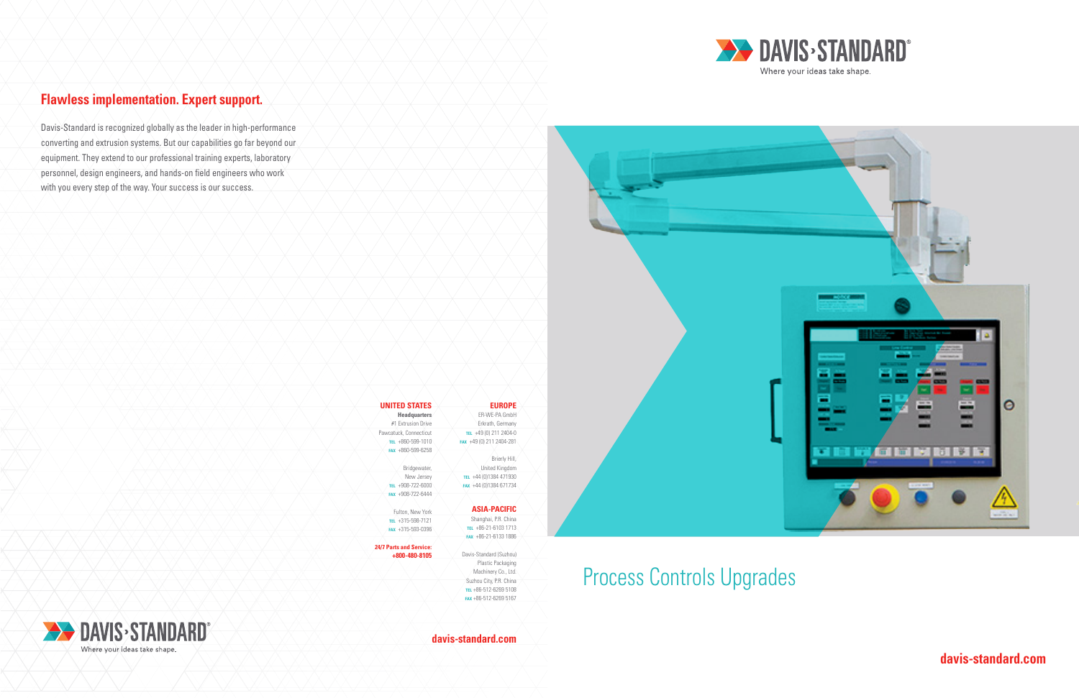# Process Controls Upgrades

**davis-standard.com**

**davis-standard.com**







# **Flawless implementation. Expert support.**

Davis-Standard is recognized globally as the leader in high-performance converting and extrusion systems. But our capabilities go far beyond our equipment. They extend to our professional training experts, laboratory personnel, design engineers, and hands-on field engineers who work with you every step of the way. Your success is our success.



| <b>UNITED STATES</b>           | <b>EUROPE</b>            |  |
|--------------------------------|--------------------------|--|
| <b>Headquarters</b>            | FR-WF-PA GmbH            |  |
| #1 Extrusion Drive             | Erkrath, Germany         |  |
| Pawcatuck, Connecticut         | TEL +49 (0) 211 2404-0   |  |
| TEL +860-599-1010              | FAX +49 (0) 211 2404-281 |  |
| $FAX + 860 - 599 - 6258$       |                          |  |
|                                | Brierly Hill,            |  |
| Bridgewater,                   | United Kingdom           |  |
| New Jersey                     | TEL +44 (0)1384 471930   |  |
| TEL +908-722-6000              | FAX +44 (0)1384 671734   |  |
| FAX +908-722-6444              |                          |  |
|                                |                          |  |
| Fulton, New York               | <b>ASIA-PACIFIC</b>      |  |
| TEL +315-598-7121              | Shanghai, P.R. China     |  |
| FAX +315-593-0396              | TEL +86-21-6103 1713     |  |
|                                | FAX +86-21-6133 1886     |  |
| <b>24/7 Parts and Service:</b> |                          |  |
| +800-480-8105                  | Davis-Standard (Suzhou)  |  |
|                                | Plastic Packaging        |  |
|                                | Machinery Co., Ltd.      |  |
|                                | Suzhou City, P.R. China  |  |
|                                | TEL +86-512-6269 5108    |  |
|                                | FAX +86-512-6269 5167    |  |
|                                |                          |  |